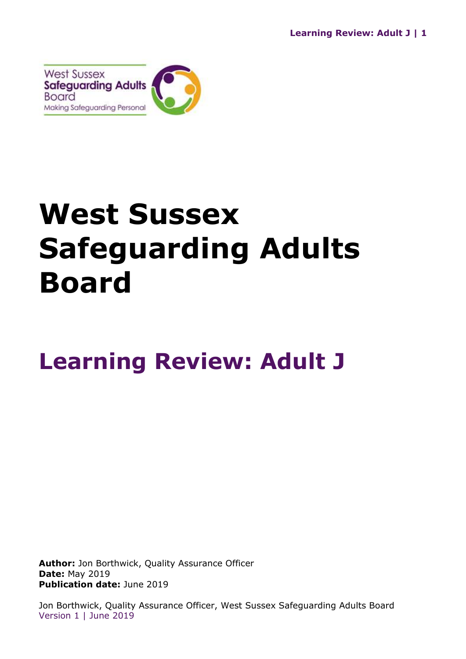

# **West Sussex Safeguarding Adults Board**

# **Learning Review: Adult J**

**Author:** Jon Borthwick, Quality Assurance Officer **Date:** May 2019 **Publication date:** June 2019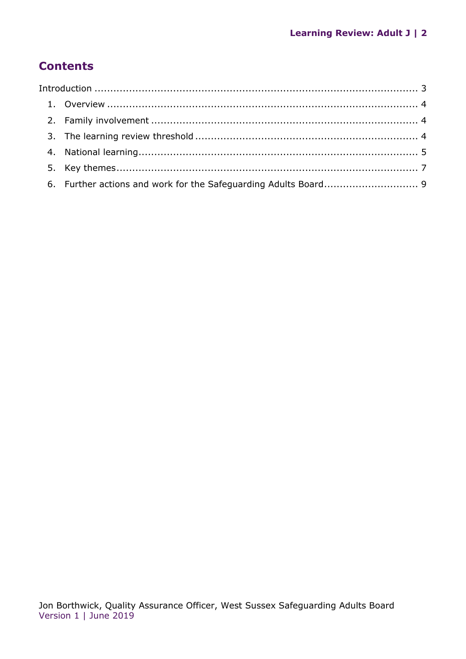# **Contents**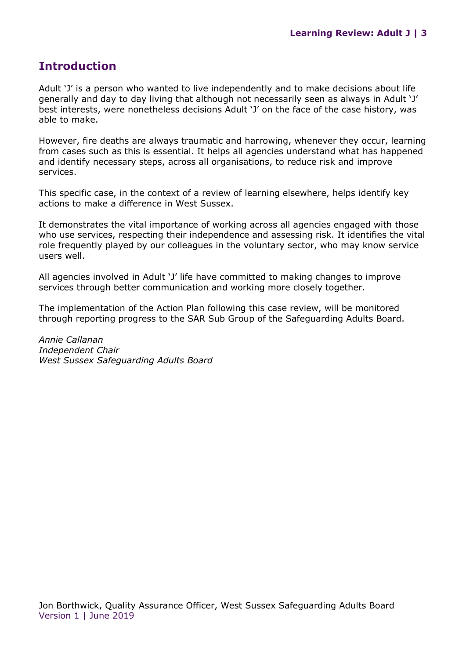## <span id="page-2-0"></span>**Introduction**

Adult 'J' is a person who wanted to live independently and to make decisions about life generally and day to day living that although not necessarily seen as always in Adult 'J' best interests, were nonetheless decisions Adult 'J' on the face of the case history, was able to make.

However, fire deaths are always traumatic and harrowing, whenever they occur, learning from cases such as this is essential. It helps all agencies understand what has happened and identify necessary steps, across all organisations, to reduce risk and improve services.

This specific case, in the context of a review of learning elsewhere, helps identify key actions to make a difference in West Sussex.

It demonstrates the vital importance of working across all agencies engaged with those who use services, respecting their independence and assessing risk. It identifies the vital role frequently played by our colleagues in the voluntary sector, who may know service users well.

All agencies involved in Adult 'J' life have committed to making changes to improve services through better communication and working more closely together.

The implementation of the Action Plan following this case review, will be monitored through reporting progress to the SAR Sub Group of the Safeguarding Adults Board.

*Annie Callanan Independent Chair West Sussex Safeguarding Adults Board*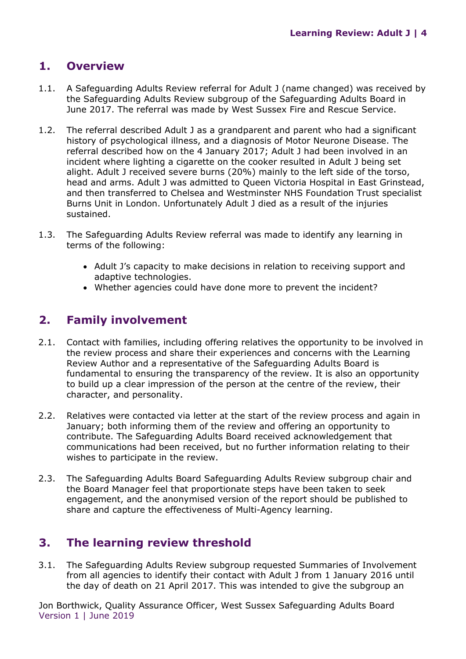# <span id="page-3-0"></span>**1. Overview**

- 1.1. A Safeguarding Adults Review referral for Adult J (name changed) was received by the Safeguarding Adults Review subgroup of the Safeguarding Adults Board in June 2017. The referral was made by West Sussex Fire and Rescue Service.
- 1.2. The referral described Adult J as a grandparent and parent who had a significant history of psychological illness, and a diagnosis of Motor Neurone Disease. The referral described how on the 4 January 2017; Adult J had been involved in an incident where lighting a cigarette on the cooker resulted in Adult J being set alight. Adult J received severe burns (20%) mainly to the left side of the torso, head and arms. Adult J was admitted to Queen Victoria Hospital in East Grinstead, and then transferred to Chelsea and Westminster NHS Foundation Trust specialist Burns Unit in London. Unfortunately Adult J died as a result of the injuries sustained.
- 1.3. The Safeguarding Adults Review referral was made to identify any learning in terms of the following:
	- Adult J's capacity to make decisions in relation to receiving support and adaptive technologies.
	- Whether agencies could have done more to prevent the incident?

## <span id="page-3-1"></span>**2. Family involvement**

- 2.1. Contact with families, including offering relatives the opportunity to be involved in the review process and share their experiences and concerns with the Learning Review Author and a representative of the Safeguarding Adults Board is fundamental to ensuring the transparency of the review. It is also an opportunity to build up a clear impression of the person at the centre of the review, their character, and personality.
- 2.2. Relatives were contacted via letter at the start of the review process and again in January; both informing them of the review and offering an opportunity to contribute. The Safeguarding Adults Board received acknowledgement that communications had been received, but no further information relating to their wishes to participate in the review.
- 2.3. The Safeguarding Adults Board Safeguarding Adults Review subgroup chair and the Board Manager feel that proportionate steps have been taken to seek engagement, and the anonymised version of the report should be published to share and capture the effectiveness of Multi-Agency learning.

#### <span id="page-3-2"></span>**3. The learning review threshold**

3.1. The Safeguarding Adults Review subgroup requested Summaries of Involvement from all agencies to identify their contact with Adult J from 1 January 2016 until the day of death on 21 April 2017. This was intended to give the subgroup an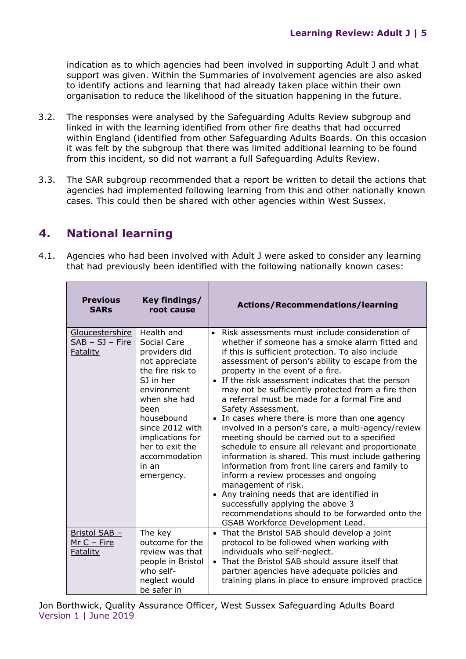indication as to which agencies had been involved in supporting Adult J and what support was given. Within the Summaries of involvement agencies are also asked to identify actions and learning that had already taken place within their own organisation to reduce the likelihood of the situation happening in the future.

- 3.2. The responses were analysed by the Safeguarding Adults Review subgroup and linked in with the learning identified from other fire deaths that had occurred within England (identified from other Safeguarding Adults Boards. On this occasion it was felt by the subgroup that there was limited additional learning to be found from this incident, so did not warrant a full Safeguarding Adults Review.
- 3.3. The SAR subgroup recommended that a report be written to detail the actions that agencies had implemented following learning from this and other nationally known cases. This could then be shared with other agencies within West Sussex.

# <span id="page-4-0"></span>**4. National learning**

4.1. Agencies who had been involved with Adult J were asked to consider any learning that had previously been identified with the following nationally known cases:

| <b>Previous</b><br><b>SARs</b>                          | Key findings/<br>root cause                                                                                                                                                                                                                          | <b>Actions/Recommendations/learning</b>                                                                                                                                                                                                                                                                                                                                                                                                                                                                                                                                                                                                                                                                                                                                                                                                                                                                                                                                                                |
|---------------------------------------------------------|------------------------------------------------------------------------------------------------------------------------------------------------------------------------------------------------------------------------------------------------------|--------------------------------------------------------------------------------------------------------------------------------------------------------------------------------------------------------------------------------------------------------------------------------------------------------------------------------------------------------------------------------------------------------------------------------------------------------------------------------------------------------------------------------------------------------------------------------------------------------------------------------------------------------------------------------------------------------------------------------------------------------------------------------------------------------------------------------------------------------------------------------------------------------------------------------------------------------------------------------------------------------|
| Gloucestershire<br>$SAB - SJ - Fire$<br><b>Fatality</b> | Health and<br>Social Care<br>providers did<br>not appreciate<br>the fire risk to<br>S1 in her<br>environment<br>when she had<br>been<br>housebound<br>since 2012 with<br>implications for<br>her to exit the<br>accommodation<br>in an<br>emergency. | • Risk assessments must include consideration of<br>whether if someone has a smoke alarm fitted and<br>if this is sufficient protection. To also include<br>assessment of person's ability to escape from the<br>property in the event of a fire.<br>• If the risk assessment indicates that the person<br>may not be sufficiently protected from a fire then<br>a referral must be made for a formal Fire and<br>Safety Assessment.<br>• In cases where there is more than one agency<br>involved in a person's care, a multi-agency/review<br>meeting should be carried out to a specified<br>schedule to ensure all relevant and proportionate<br>information is shared. This must include gathering<br>information from front line carers and family to<br>inform a review processes and ongoing<br>management of risk.<br>• Any training needs that are identified in<br>successfully applying the above 3<br>recommendations should to be forwarded onto the<br>GSAB Workforce Development Lead. |
| Bristol SAB -<br>$MrC - Fire$<br><b>Fatality</b>        | The key<br>outcome for the<br>review was that<br>people in Bristol<br>who self-<br>neglect would<br>be safer in                                                                                                                                      | • That the Bristol SAB should develop a joint<br>protocol to be followed when working with<br>individuals who self-neglect.<br>• That the Bristol SAB should assure itself that<br>partner agencies have adequate policies and<br>training plans in place to ensure improved practice                                                                                                                                                                                                                                                                                                                                                                                                                                                                                                                                                                                                                                                                                                                  |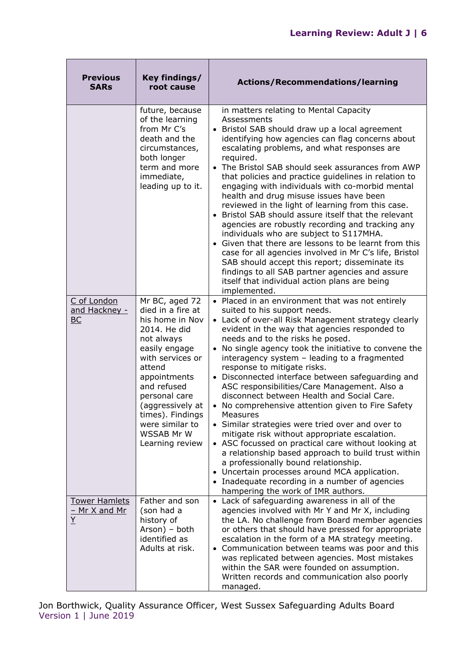| <b>Previous</b><br><b>SARs</b>             | Key findings/<br>root cause                                                                                                                                                                                                                                                     | <b>Actions/Recommendations/learning</b>                                                                                                                                                                                                                                                                                                                                                                                                                                                                                                                                                                                                                                                                                                                                                                                                                                                                                                                                                    |
|--------------------------------------------|---------------------------------------------------------------------------------------------------------------------------------------------------------------------------------------------------------------------------------------------------------------------------------|--------------------------------------------------------------------------------------------------------------------------------------------------------------------------------------------------------------------------------------------------------------------------------------------------------------------------------------------------------------------------------------------------------------------------------------------------------------------------------------------------------------------------------------------------------------------------------------------------------------------------------------------------------------------------------------------------------------------------------------------------------------------------------------------------------------------------------------------------------------------------------------------------------------------------------------------------------------------------------------------|
|                                            | future, because<br>of the learning<br>from Mr C's<br>death and the<br>circumstances,<br>both longer<br>term and more<br>immediate,<br>leading up to it.                                                                                                                         | in matters relating to Mental Capacity<br>Assessments<br>• Bristol SAB should draw up a local agreement<br>identifying how agencies can flag concerns about<br>escalating problems, and what responses are<br>required.<br>• The Bristol SAB should seek assurances from AWP<br>that policies and practice guidelines in relation to<br>engaging with individuals with co-morbid mental<br>health and drug misuse issues have been<br>reviewed in the light of learning from this case.<br>• Bristol SAB should assure itself that the relevant<br>agencies are robustly recording and tracking any<br>individuals who are subject to S117MHA.<br>• Given that there are lessons to be learnt from this<br>case for all agencies involved in Mr C's life, Bristol<br>SAB should accept this report; disseminate its<br>findings to all SAB partner agencies and assure<br>itself that individual action plans are being<br>implemented.                                                    |
| C of London<br>and Hackney -<br>BC         | Mr BC, aged 72<br>died in a fire at<br>his home in Nov<br>2014. He did<br>not always<br>easily engage<br>with services or<br>attend<br>appointments<br>and refused<br>personal care<br>(aggressively at<br>times). Findings<br>were similar to<br>WSSAB Mr W<br>Learning review | • Placed in an environment that was not entirely<br>suited to his support needs.<br>• Lack of over-all Risk Management strategy clearly<br>evident in the way that agencies responded to<br>needs and to the risks he posed.<br>No single agency took the initiative to convene the<br>interagency system - leading to a fragmented<br>response to mitigate risks.<br>• Disconnected interface between safeguarding and<br>ASC responsibilities/Care Management. Also a<br>disconnect between Health and Social Care.<br>• No comprehensive attention given to Fire Safety<br>Measures<br>• Similar strategies were tried over and over to<br>mitigate risk without appropriate escalation.<br>• ASC focussed on practical care without looking at<br>a relationship based approach to build trust within<br>a professionally bound relationship.<br>• Uncertain processes around MCA application.<br>• Inadequate recording in a number of agencies<br>hampering the work of IMR authors. |
| <b>Tower Hamlets</b><br>- Mr X and Mr<br>Y | Father and son<br>(son had a<br>history of<br>Arson) - both<br>identified as<br>Adults at risk.                                                                                                                                                                                 | • Lack of safeguarding awareness in all of the<br>agencies involved with Mr Y and Mr X, including<br>the LA. No challenge from Board member agencies<br>or others that should have pressed for appropriate<br>escalation in the form of a MA strategy meeting.<br>• Communication between teams was poor and this<br>was replicated between agencies. Most mistakes<br>within the SAR were founded on assumption.<br>Written records and communication also poorly<br>managed.                                                                                                                                                                                                                                                                                                                                                                                                                                                                                                             |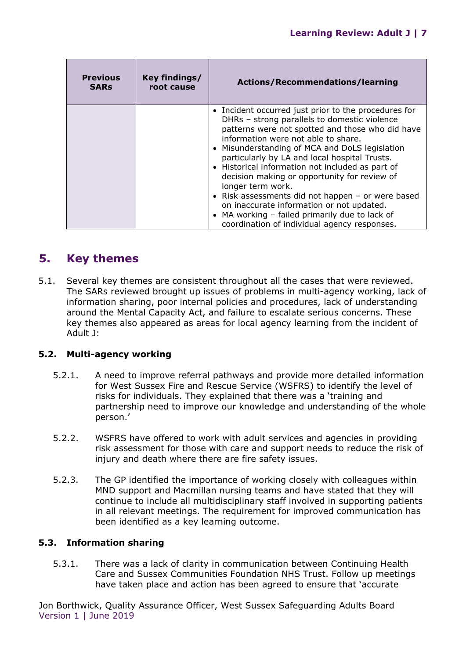| <b>Previous</b><br><b>SARs</b> | Key findings/<br>root cause | Actions/Recommendations/learning                                                                                                                                                                                                                                                                                                                                                                                                                                                                                                                                                                                                |
|--------------------------------|-----------------------------|---------------------------------------------------------------------------------------------------------------------------------------------------------------------------------------------------------------------------------------------------------------------------------------------------------------------------------------------------------------------------------------------------------------------------------------------------------------------------------------------------------------------------------------------------------------------------------------------------------------------------------|
|                                |                             | • Incident occurred just prior to the procedures for<br>DHRs - strong parallels to domestic violence<br>patterns were not spotted and those who did have<br>information were not able to share.<br>• Misunderstanding of MCA and DoLS legislation<br>particularly by LA and local hospital Trusts.<br>• Historical information not included as part of<br>decision making or opportunity for review of<br>longer term work.<br>• Risk assessments did not happen - or were based<br>on inaccurate information or not updated.<br>• MA working - failed primarily due to lack of<br>coordination of individual agency responses. |

## <span id="page-6-0"></span>**5. Key themes**

5.1. Several key themes are consistent throughout all the cases that were reviewed. The SARs reviewed brought up issues of problems in multi-agency working, lack of information sharing, poor internal policies and procedures, lack of understanding around the Mental Capacity Act, and failure to escalate serious concerns. These key themes also appeared as areas for local agency learning from the incident of Adult J:

#### **5.2. Multi-agency working**

- 5.2.1. A need to improve referral pathways and provide more detailed information for West Sussex Fire and Rescue Service (WSFRS) to identify the level of risks for individuals. They explained that there was a 'training and partnership need to improve our knowledge and understanding of the whole person.'
- 5.2.2. WSFRS have offered to work with adult services and agencies in providing risk assessment for those with care and support needs to reduce the risk of injury and death where there are fire safety issues.
- 5.2.3. The GP identified the importance of working closely with colleagues within MND support and Macmillan nursing teams and have stated that they will continue to include all multidisciplinary staff involved in supporting patients in all relevant meetings. The requirement for improved communication has been identified as a key learning outcome.

#### **5.3. Information sharing**

5.3.1. There was a lack of clarity in communication between Continuing Health Care and Sussex Communities Foundation NHS Trust. Follow up meetings have taken place and action has been agreed to ensure that 'accurate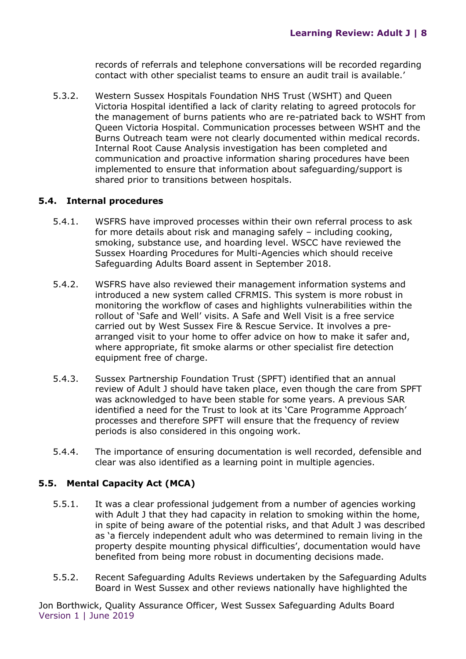records of referrals and telephone conversations will be recorded regarding contact with other specialist teams to ensure an audit trail is available.'

5.3.2. Western Sussex Hospitals Foundation NHS Trust (WSHT) and Queen Victoria Hospital identified a lack of clarity relating to agreed protocols for the management of burns patients who are re-patriated back to WSHT from Queen Victoria Hospital. Communication processes between WSHT and the Burns Outreach team were not clearly documented within medical records. Internal Root Cause Analysis investigation has been completed and communication and proactive information sharing procedures have been implemented to ensure that information about safeguarding/support is shared prior to transitions between hospitals.

#### **5.4. Internal procedures**

- 5.4.1. WSFRS have improved processes within their own referral process to ask for more details about risk and managing safely – including cooking, smoking, substance use, and hoarding level. WSCC have reviewed the Sussex Hoarding Procedures for Multi-Agencies which should receive Safeguarding Adults Board assent in September 2018.
- 5.4.2. WSFRS have also reviewed their management information systems and introduced a new system called CFRMIS. This system is more robust in monitoring the workflow of cases and highlights vulnerabilities within the rollout of 'Safe and Well' visits. A Safe and Well Visit is a free service carried out by West Sussex Fire & Rescue Service. It involves a prearranged visit to your home to offer advice on how to make it safer and, where appropriate, fit smoke alarms or other specialist fire detection equipment free of charge.
- 5.4.3. Sussex Partnership Foundation Trust (SPFT) identified that an annual review of Adult J should have taken place, even though the care from SPFT was acknowledged to have been stable for some years. A previous SAR identified a need for the Trust to look at its 'Care Programme Approach' processes and therefore SPFT will ensure that the frequency of review periods is also considered in this ongoing work.
- 5.4.4. The importance of ensuring documentation is well recorded, defensible and clear was also identified as a learning point in multiple agencies.

#### **5.5. Mental Capacity Act (MCA)**

- 5.5.1. It was a clear professional judgement from a number of agencies working with Adult J that they had capacity in relation to smoking within the home, in spite of being aware of the potential risks, and that Adult J was described as 'a fiercely independent adult who was determined to remain living in the property despite mounting physical difficulties', documentation would have benefited from being more robust in documenting decisions made.
- 5.5.2. Recent Safeguarding Adults Reviews undertaken by the Safeguarding Adults Board in West Sussex and other reviews nationally have highlighted the